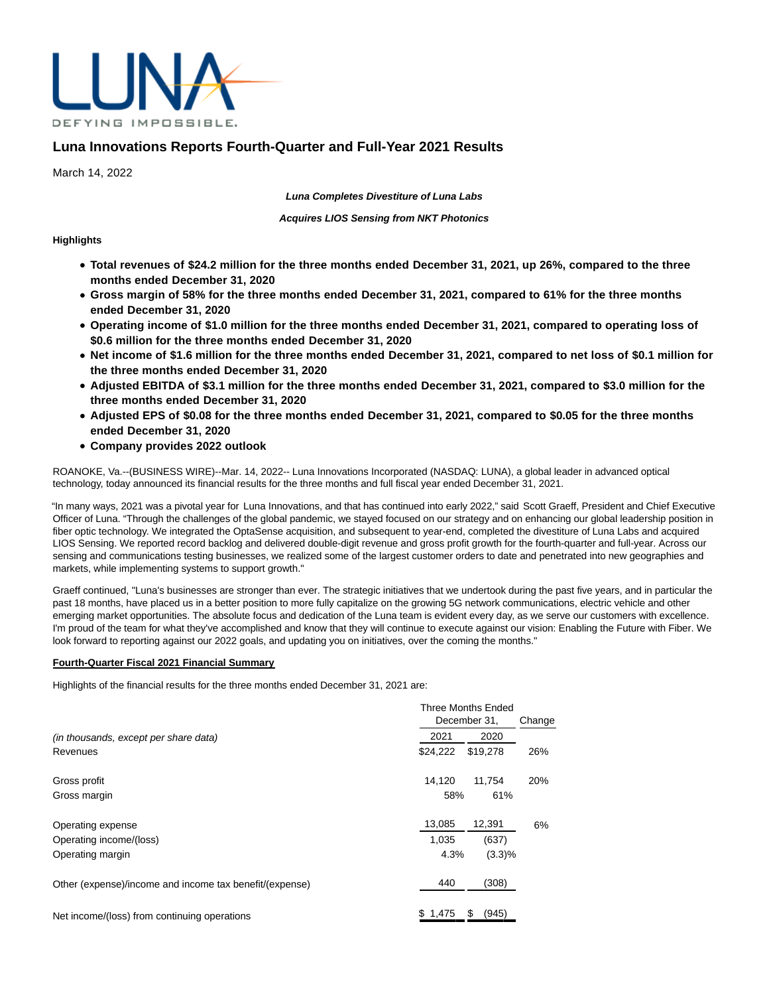

# **Luna Innovations Reports Fourth-Quarter and Full-Year 2021 Results**

March 14, 2022

**Luna Completes Divestiture of Luna Labs**

**Acquires LIOS Sensing from NKT Photonics**

## **Highlights**

- **Total revenues of \$24.2 million for the three months ended December 31, 2021, up 26%, compared to the three months ended December 31, 2020**
- **Gross margin of 58% for the three months ended December 31, 2021, compared to 61% for the three months ended December 31, 2020**
- **Operating income of \$1.0 million for the three months ended December 31, 2021, compared to operating loss of \$0.6 million for the three months ended December 31, 2020**
- **Net income of \$1.6 million for the three months ended December 31, 2021, compared to net loss of \$0.1 million for the three months ended December 31, 2020**
- **Adjusted EBITDA of \$3.1 million for the three months ended December 31, 2021, compared to \$3.0 million for the three months ended December 31, 2020**
- **Adjusted EPS of \$0.08 for the three months ended December 31, 2021, compared to \$0.05 for the three months ended December 31, 2020**
- **Company provides 2022 outlook**

ROANOKE, Va.--(BUSINESS WIRE)--Mar. 14, 2022-- Luna Innovations Incorporated (NASDAQ: LUNA), a global leader in advanced optical technology, today announced its financial results for the three months and full fiscal year ended December 31, 2021.

"In many ways, 2021 was a pivotal year for Luna Innovations, and that has continued into early 2022," said Scott Graeff, President and Chief Executive Officer of Luna. "Through the challenges of the global pandemic, we stayed focused on our strategy and on enhancing our global leadership position in fiber optic technology. We integrated the OptaSense acquisition, and subsequent to year-end, completed the divestiture of Luna Labs and acquired LIOS Sensing. We reported record backlog and delivered double-digit revenue and gross profit growth for the fourth-quarter and full-year. Across our sensing and communications testing businesses, we realized some of the largest customer orders to date and penetrated into new geographies and markets, while implementing systems to support growth."

Graeff continued, "Luna's businesses are stronger than ever. The strategic initiatives that we undertook during the past five years, and in particular the past 18 months, have placed us in a better position to more fully capitalize on the growing 5G network communications, electric vehicle and other emerging market opportunities. The absolute focus and dedication of the Luna team is evident every day, as we serve our customers with excellence. I'm proud of the team for what they've accomplished and know that they will continue to execute against our vision: Enabling the Future with Fiber. We look forward to reporting against our 2022 goals, and updating you on initiatives, over the coming the months."

#### **Fourth-Quarter Fiscal 2021 Financial Summary**

Highlights of the financial results for the three months ended December 31, 2021 are:

|                                                         |            | <b>Three Months Ended</b><br>December 31. |     |  |  |  |  |
|---------------------------------------------------------|------------|-------------------------------------------|-----|--|--|--|--|
| (in thousands, except per share data)                   | 2021       | 2020                                      |     |  |  |  |  |
| Revenues                                                | \$24,222   | \$19,278                                  | 26% |  |  |  |  |
| Gross profit                                            | 14,120     | 11,754                                    | 20% |  |  |  |  |
| Gross margin                                            | 58%        | 61%                                       |     |  |  |  |  |
| Operating expense                                       | 13,085     | 12,391                                    | 6%  |  |  |  |  |
| Operating income/(loss)                                 | 1,035      | (637)                                     |     |  |  |  |  |
| Operating margin                                        | 4.3%       | (3.3)%                                    |     |  |  |  |  |
| Other (expense)/income and income tax benefit/(expense) | 440        | (308)                                     |     |  |  |  |  |
| Net income/(loss) from continuing operations            | 1,475<br>S | (945)<br>\$                               |     |  |  |  |  |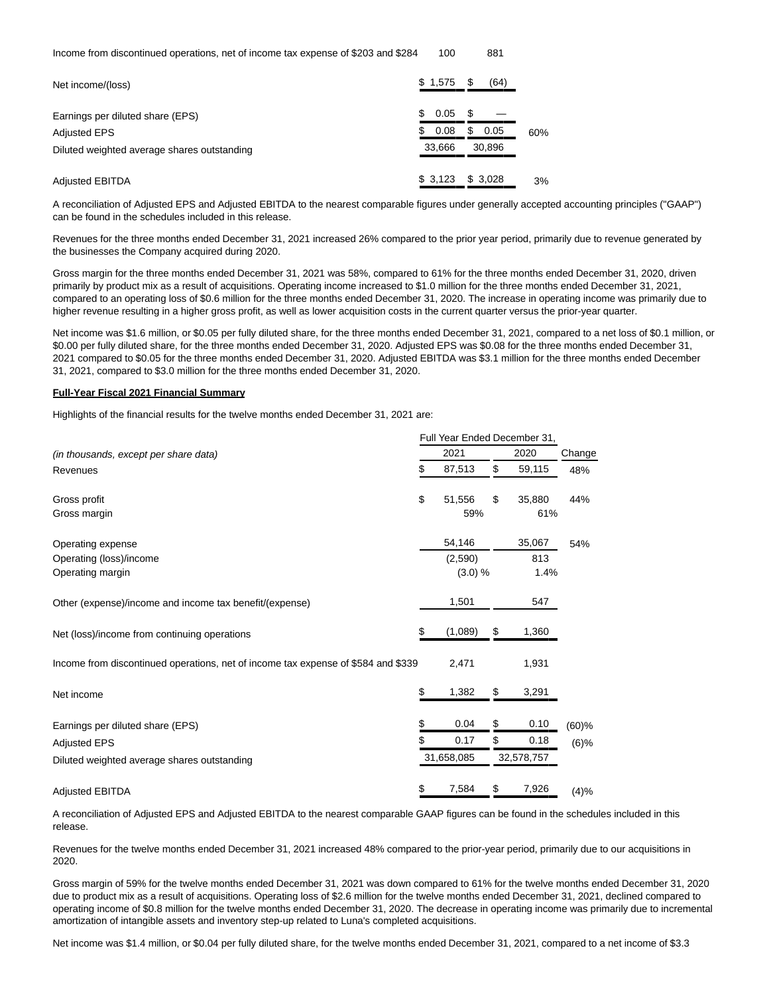| Income from discontinued operations, net of income tax expense of \$203 and \$284 | 100     | 881        |     |
|-----------------------------------------------------------------------------------|---------|------------|-----|
| Net income/(loss)                                                                 | \$1,575 | (64)<br>S  |     |
| S.<br>Earnings per diluted share (EPS)                                            | 0.05    | S          |     |
| S<br><b>Adjusted EPS</b>                                                          | 0.08    | 0.05<br>\$ | 60% |
| Diluted weighted average shares outstanding                                       | 33,666  | 30,896     |     |
| <b>Adjusted EBITDA</b>                                                            | \$3,123 | \$3,028    | 3%  |

A reconciliation of Adjusted EPS and Adjusted EBITDA to the nearest comparable figures under generally accepted accounting principles ("GAAP") can be found in the schedules included in this release.

Revenues for the three months ended December 31, 2021 increased 26% compared to the prior year period, primarily due to revenue generated by the businesses the Company acquired during 2020.

Gross margin for the three months ended December 31, 2021 was 58%, compared to 61% for the three months ended December 31, 2020, driven primarily by product mix as a result of acquisitions. Operating income increased to \$1.0 million for the three months ended December 31, 2021, compared to an operating loss of \$0.6 million for the three months ended December 31, 2020. The increase in operating income was primarily due to higher revenue resulting in a higher gross profit, as well as lower acquisition costs in the current quarter versus the prior-year quarter.

Net income was \$1.6 million, or \$0.05 per fully diluted share, for the three months ended December 31, 2021, compared to a net loss of \$0.1 million, or \$0.00 per fully diluted share, for the three months ended December 31, 2020. Adjusted EPS was \$0.08 for the three months ended December 31, 2021 compared to \$0.05 for the three months ended December 31, 2020. Adjusted EBITDA was \$3.1 million for the three months ended December 31, 2021, compared to \$3.0 million for the three months ended December 31, 2020.

Full Year Ended December 31,

#### **Full-Year Fiscal 2021 Financial Summary**

Highlights of the financial results for the twelve months ended December 31, 2021 are:

|                                                                                   |    | i uli real Lilueu Decenibel JT, |    |            |         |  |  |  |  |  |
|-----------------------------------------------------------------------------------|----|---------------------------------|----|------------|---------|--|--|--|--|--|
| (in thousands, except per share data)                                             |    | 2021                            |    | 2020       | Change  |  |  |  |  |  |
| Revenues                                                                          | \$ | 87,513                          | \$ | 59,115     | 48%     |  |  |  |  |  |
| Gross profit                                                                      | \$ | 51,556                          | \$ | 35,880     | 44%     |  |  |  |  |  |
| Gross margin                                                                      |    | 59%                             |    | 61%        |         |  |  |  |  |  |
| Operating expense                                                                 |    | 54,146                          |    | 35,067     | 54%     |  |  |  |  |  |
| Operating (loss)/income                                                           |    | (2,590)                         |    | 813        |         |  |  |  |  |  |
| Operating margin                                                                  |    | (3.0) %                         |    | 1.4%       |         |  |  |  |  |  |
| Other (expense)/income and income tax benefit/(expense)                           |    | 1,501                           |    | 547        |         |  |  |  |  |  |
| Net (loss)/income from continuing operations                                      | \$ | (1,089)                         | \$ | 1,360      |         |  |  |  |  |  |
| Income from discontinued operations, net of income tax expense of \$584 and \$339 |    | 2,471                           |    | 1,931      |         |  |  |  |  |  |
| Net income                                                                        | \$ | 1,382                           | \$ | 3,291      |         |  |  |  |  |  |
| Earnings per diluted share (EPS)                                                  | \$ | 0.04                            | \$ | 0.10       | (60)%   |  |  |  |  |  |
| <b>Adjusted EPS</b>                                                               | \$ | 0.17                            | \$ | 0.18       | $(6)$ % |  |  |  |  |  |
| Diluted weighted average shares outstanding                                       |    | 31,658,085                      |    | 32,578,757 |         |  |  |  |  |  |
| <b>Adjusted EBITDA</b>                                                            | \$ | 7,584                           | \$ | 7,926      | (4)%    |  |  |  |  |  |

A reconciliation of Adjusted EPS and Adjusted EBITDA to the nearest comparable GAAP figures can be found in the schedules included in this release.

Revenues for the twelve months ended December 31, 2021 increased 48% compared to the prior-year period, primarily due to our acquisitions in 2020.

Gross margin of 59% for the twelve months ended December 31, 2021 was down compared to 61% for the twelve months ended December 31, 2020 due to product mix as a result of acquisitions. Operating loss of \$2.6 million for the twelve months ended December 31, 2021, declined compared to operating income of \$0.8 million for the twelve months ended December 31, 2020. The decrease in operating income was primarily due to incremental amortization of intangible assets and inventory step-up related to Luna's completed acquisitions.

Net income was \$1.4 million, or \$0.04 per fully diluted share, for the twelve months ended December 31, 2021, compared to a net income of \$3.3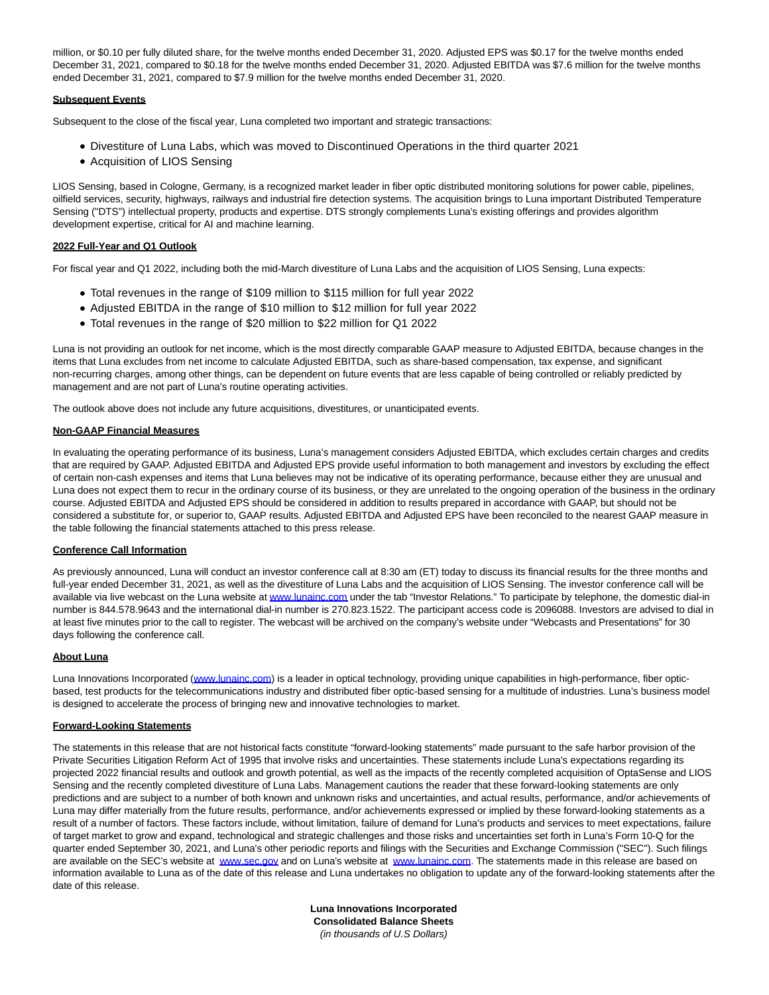million, or \$0.10 per fully diluted share, for the twelve months ended December 31, 2020. Adjusted EPS was \$0.17 for the twelve months ended December 31, 2021, compared to \$0.18 for the twelve months ended December 31, 2020. Adjusted EBITDA was \$7.6 million for the twelve months ended December 31, 2021, compared to \$7.9 million for the twelve months ended December 31, 2020.

### **Subsequent Events**

Subsequent to the close of the fiscal year, Luna completed two important and strategic transactions:

- Divestiture of Luna Labs, which was moved to Discontinued Operations in the third quarter 2021
- Acquisition of LIOS Sensing

LIOS Sensing, based in Cologne, Germany, is a recognized market leader in fiber optic distributed monitoring solutions for power cable, pipelines, oilfield services, security, highways, railways and industrial fire detection systems. The acquisition brings to Luna important Distributed Temperature Sensing ("DTS") intellectual property, products and expertise. DTS strongly complements Luna's existing offerings and provides algorithm development expertise, critical for AI and machine learning.

### **2022 Full-Year and Q1 Outlook**

For fiscal year and Q1 2022, including both the mid-March divestiture of Luna Labs and the acquisition of LIOS Sensing, Luna expects:

- Total revenues in the range of \$109 million to \$115 million for full year 2022
- Adjusted EBITDA in the range of \$10 million to \$12 million for full year 2022
- Total revenues in the range of \$20 million to \$22 million for Q1 2022

Luna is not providing an outlook for net income, which is the most directly comparable GAAP measure to Adjusted EBITDA, because changes in the items that Luna excludes from net income to calculate Adjusted EBITDA, such as share-based compensation, tax expense, and significant non-recurring charges, among other things, can be dependent on future events that are less capable of being controlled or reliably predicted by management and are not part of Luna's routine operating activities.

The outlook above does not include any future acquisitions, divestitures, or unanticipated events.

#### **Non-GAAP Financial Measures**

In evaluating the operating performance of its business, Luna's management considers Adjusted EBITDA, which excludes certain charges and credits that are required by GAAP. Adjusted EBITDA and Adjusted EPS provide useful information to both management and investors by excluding the effect of certain non-cash expenses and items that Luna believes may not be indicative of its operating performance, because either they are unusual and Luna does not expect them to recur in the ordinary course of its business, or they are unrelated to the ongoing operation of the business in the ordinary course. Adjusted EBITDA and Adjusted EPS should be considered in addition to results prepared in accordance with GAAP, but should not be considered a substitute for, or superior to, GAAP results. Adjusted EBITDA and Adjusted EPS have been reconciled to the nearest GAAP measure in the table following the financial statements attached to this press release.

#### **Conference Call Information**

As previously announced, Luna will conduct an investor conference call at 8:30 am (ET) today to discuss its financial results for the three months and full-year ended December 31, 2021, as well as the divestiture of Luna Labs and the acquisition of LIOS Sensing. The investor conference call will be available via live webcast on the Luna website at [www.lunainc.com u](http://www.lunainc.com/)nder the tab "Investor Relations." To participate by telephone, the domestic dial-in number is 844.578.9643 and the international dial-in number is 270.823.1522. The participant access code is 2096088. Investors are advised to dial in at least five minutes prior to the call to register. The webcast will be archived on the company's website under "Webcasts and Presentations" for 30 days following the conference call.

#### **About Luna**

Luna Innovations Incorporated [\(www.lunainc.com\)](http://www.lunainc.com/) is a leader in optical technology, providing unique capabilities in high-performance, fiber opticbased, test products for the telecommunications industry and distributed fiber optic-based sensing for a multitude of industries. Luna's business model is designed to accelerate the process of bringing new and innovative technologies to market.

#### **Forward-Looking Statements**

The statements in this release that are not historical facts constitute "forward-looking statements" made pursuant to the safe harbor provision of the Private Securities Litigation Reform Act of 1995 that involve risks and uncertainties. These statements include Luna's expectations regarding its projected 2022 financial results and outlook and growth potential, as well as the impacts of the recently completed acquisition of OptaSense and LIOS Sensing and the recently completed divestiture of Luna Labs. Management cautions the reader that these forward-looking statements are only predictions and are subject to a number of both known and unknown risks and uncertainties, and actual results, performance, and/or achievements of Luna may differ materially from the future results, performance, and/or achievements expressed or implied by these forward-looking statements as a result of a number of factors. These factors include, without limitation, failure of demand for Luna's products and services to meet expectations, failure of target market to grow and expand, technological and strategic challenges and those risks and uncertainties set forth in Luna's Form 10-Q for the quarter ended September 30, 2021, and Luna's other periodic reports and filings with the Securities and Exchange Commission ("SEC"). Such filings are available on the SEC's website at [www.sec.gov a](http://www.sec.gov/)nd on Luna's website at [www.lunainc.com.](http://www.lunainc.com/) The statements made in this release are based on information available to Luna as of the date of this release and Luna undertakes no obligation to update any of the forward-looking statements after the date of this release.

> **Luna Innovations Incorporated Consolidated Balance Sheets** (in thousands of U.S Dollars)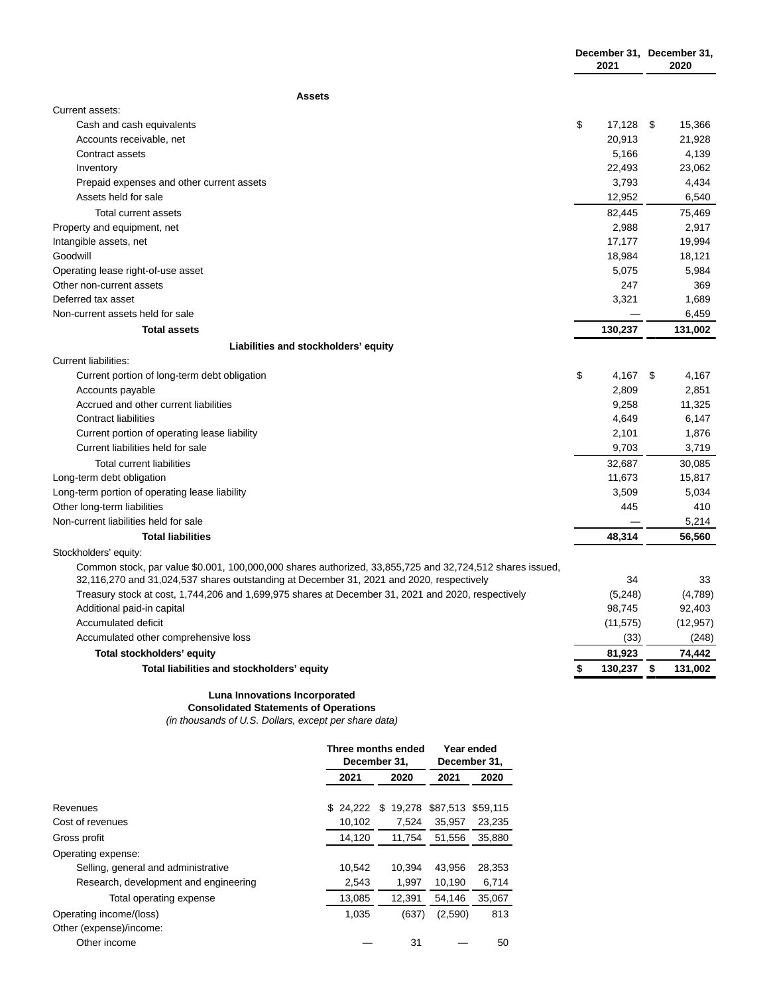|                                                                                                                                                                                                      | 2021             | December 31, December 31,<br>2020 |           |  |
|------------------------------------------------------------------------------------------------------------------------------------------------------------------------------------------------------|------------------|-----------------------------------|-----------|--|
|                                                                                                                                                                                                      |                  |                                   |           |  |
| <b>Assets</b><br>Current assets:                                                                                                                                                                     |                  |                                   |           |  |
| Cash and cash equivalents                                                                                                                                                                            | \$<br>17,128     | - \$                              | 15,366    |  |
| Accounts receivable, net                                                                                                                                                                             | 20,913           |                                   | 21,928    |  |
| Contract assets                                                                                                                                                                                      | 5,166            |                                   | 4,139     |  |
| Inventory                                                                                                                                                                                            | 22,493           |                                   | 23,062    |  |
| Prepaid expenses and other current assets                                                                                                                                                            | 3,793            |                                   | 4,434     |  |
| Assets held for sale                                                                                                                                                                                 | 12,952           |                                   | 6,540     |  |
| <b>Total current assets</b>                                                                                                                                                                          | 82,445           |                                   | 75,469    |  |
| Property and equipment, net                                                                                                                                                                          | 2,988            |                                   | 2,917     |  |
| Intangible assets, net                                                                                                                                                                               | 17,177           |                                   | 19,994    |  |
| Goodwill                                                                                                                                                                                             | 18,984           |                                   | 18,121    |  |
| Operating lease right-of-use asset                                                                                                                                                                   | 5,075            |                                   | 5,984     |  |
| Other non-current assets                                                                                                                                                                             | 247              |                                   | 369       |  |
| Deferred tax asset                                                                                                                                                                                   | 3,321            |                                   | 1,689     |  |
| Non-current assets held for sale                                                                                                                                                                     |                  |                                   | 6,459     |  |
| <b>Total assets</b>                                                                                                                                                                                  | 130,237          |                                   | 131,002   |  |
| Liabilities and stockholders' equity                                                                                                                                                                 |                  |                                   |           |  |
| Current liabilities:                                                                                                                                                                                 |                  |                                   |           |  |
| Current portion of long-term debt obligation                                                                                                                                                         | \$<br>$4,167$ \$ |                                   | 4,167     |  |
| Accounts payable                                                                                                                                                                                     | 2,809            |                                   | 2,851     |  |
| Accrued and other current liabilities                                                                                                                                                                | 9,258            |                                   | 11,325    |  |
| <b>Contract liabilities</b>                                                                                                                                                                          | 4,649            |                                   | 6,147     |  |
| Current portion of operating lease liability                                                                                                                                                         | 2,101            |                                   | 1,876     |  |
| Current liabilities held for sale                                                                                                                                                                    | 9,703            |                                   | 3,719     |  |
| <b>Total current liabilities</b>                                                                                                                                                                     | 32,687           |                                   | 30,085    |  |
| Long-term debt obligation                                                                                                                                                                            | 11,673           |                                   | 15,817    |  |
| Long-term portion of operating lease liability                                                                                                                                                       | 3,509            |                                   | 5,034     |  |
| Other long-term liabilities                                                                                                                                                                          | 445              |                                   | 410       |  |
| Non-current liabilities held for sale                                                                                                                                                                |                  |                                   | 5,214     |  |
| <b>Total liabilities</b>                                                                                                                                                                             | 48,314           |                                   | 56,560    |  |
| Stockholders' equity:                                                                                                                                                                                |                  |                                   |           |  |
| Common stock, par value \$0.001, 100,000,000 shares authorized, 33,855,725 and 32,724,512 shares issued,<br>32,116,270 and 31,024,537 shares outstanding at December 31, 2021 and 2020, respectively | 34               |                                   | 33        |  |
| Treasury stock at cost, 1,744,206 and 1,699,975 shares at December 31, 2021 and 2020, respectively                                                                                                   | (5,248)          |                                   | (4,789)   |  |
| Additional paid-in capital                                                                                                                                                                           | 98,745           |                                   | 92,403    |  |
| Accumulated deficit                                                                                                                                                                                  | (11, 575)        |                                   | (12, 957) |  |
| Accumulated other comprehensive loss                                                                                                                                                                 | (33)             |                                   | (248)     |  |
| Total stockholders' equity                                                                                                                                                                           | 81,923           |                                   | 74,442    |  |
| Total liabilities and stockholders' equity                                                                                                                                                           | 130,237          | \$                                | 131,002   |  |
|                                                                                                                                                                                                      |                  |                                   |           |  |

## **Luna Innovations Incorporated**

**Consolidated Statements of Operations**

(in thousands of U.S. Dollars, except per share data)

|                                       | Three months ended<br>December 31, |              |    |        | Year ended<br>December 31, |          |  |
|---------------------------------------|------------------------------------|--------------|----|--------|----------------------------|----------|--|
|                                       |                                    | 2021<br>2020 |    | 2021   | 2020                       |          |  |
|                                       |                                    |              |    |        |                            |          |  |
| Revenues                              |                                    | \$24.222     | \$ | 19.278 | \$87,513                   | \$59.115 |  |
| Cost of revenues                      |                                    | 10,102       |    | 7.524  | 35,957                     | 23,235   |  |
| Gross profit                          |                                    | 14,120       |    | 11,754 | 51,556                     | 35,880   |  |
| Operating expense:                    |                                    |              |    |        |                            |          |  |
| Selling, general and administrative   |                                    | 10,542       |    | 10.394 | 43.956                     | 28,353   |  |
| Research, development and engineering |                                    | 2,543        |    | 1,997  | 10,190                     | 6,714    |  |
| Total operating expense               |                                    | 13,085       |    | 12.391 | 54.146                     | 35,067   |  |
| Operating income/(loss)               |                                    | 1,035        |    | (637)  | (2,590)                    | 813      |  |
| Other (expense)/income:               |                                    |              |    |        |                            |          |  |
| Other income                          |                                    |              |    | 31     |                            | 50       |  |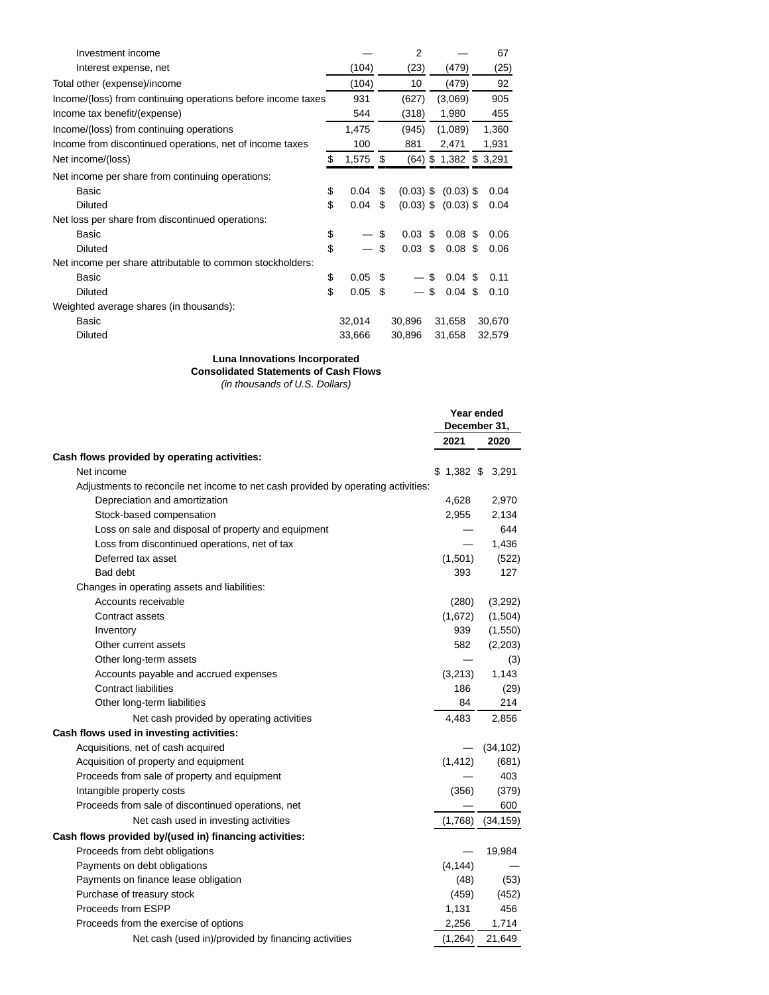| Investment income                                            |             | $\overline{2}$    |     |                          | 67     |
|--------------------------------------------------------------|-------------|-------------------|-----|--------------------------|--------|
| Interest expense, net                                        | (104)       | (23)              |     | (479)                    | (25)   |
| Total other (expense)/income                                 | (104)       | 10                |     | (479)                    | 92     |
| Income/(loss) from continuing operations before income taxes | 931         | (627)             |     | (3,069)                  | 905    |
| Income tax benefit/(expense)                                 | 544         | (318)             |     | 1,980                    | 455    |
| Income/(loss) from continuing operations                     | 1,475       | (945)             |     | (1,089)                  | 1,360  |
| Income from discontinued operations, net of income taxes     | 100         | 881               |     | 2,471                    | 1,931  |
| Net income/(loss)                                            | \$<br>1,575 | \$                |     | $(64)$ \$ 1,382 \$ 3,291 |        |
| Net income per share from continuing operations:             |             |                   |     |                          |        |
| <b>Basic</b>                                                 | \$<br>0.04  | \$<br>$(0.03)$ \$ |     | $(0.03)$ \$              | 0.04   |
| <b>Diluted</b>                                               | \$<br>0.04  | \$<br>$(0.03)$ \$ |     | $(0.03)$ \$              | 0.04   |
| Net loss per share from discontinued operations:             |             |                   |     |                          |        |
| <b>Basic</b>                                                 | \$          | \$<br>$0.03$ \$   |     | $0.08$ \$                | 0.06   |
| <b>Diluted</b>                                               | \$          | \$<br>0.03        | -\$ | $0.08$ \$                | 0.06   |
| Net income per share attributable to common stockholders:    |             |                   |     |                          |        |
| <b>Basic</b>                                                 | \$<br>0.05  | \$                | \$  | $0.04$ \$                | 0.11   |
| <b>Diluted</b>                                               | \$<br>0.05  | \$                | \$  | $0.04$ \$                | 0.10   |
| Weighted average shares (in thousands):                      |             |                   |     |                          |        |
| <b>Basic</b>                                                 | 32,014      | 30,896            |     | 31,658                   | 30,670 |
| <b>Diluted</b>                                               | 33,666      | 30,896            |     | 31,658                   | 32,579 |

#### **Luna Innovations Incorporated**

**Consolidated Statements of Cash Flows**

(in thousands of U.S. Dollars)

|                                                                                   |             | Year ended<br>December 31, |
|-----------------------------------------------------------------------------------|-------------|----------------------------|
|                                                                                   | 2021        | 2020                       |
| Cash flows provided by operating activities:                                      |             |                            |
| Net income                                                                        | $$1,382$ \$ | 3,291                      |
| Adjustments to reconcile net income to net cash provided by operating activities: |             |                            |
| Depreciation and amortization                                                     | 4,628       | 2,970                      |
| Stock-based compensation                                                          | 2,955       | 2,134                      |
| Loss on sale and disposal of property and equipment                               |             | 644                        |
| Loss from discontinued operations, net of tax                                     |             | 1,436                      |
| Deferred tax asset                                                                | (1,501)     | (522)                      |
| Bad debt                                                                          | 393         | 127                        |
| Changes in operating assets and liabilities:                                      |             |                            |
| Accounts receivable                                                               | (280)       | (3,292)                    |
| Contract assets                                                                   | (1,672)     | (1,504)                    |
| Inventory                                                                         | 939         | (1,550)                    |
| Other current assets                                                              | 582         | (2,203)                    |
| Other long-term assets                                                            |             | (3)                        |
| Accounts payable and accrued expenses                                             | (3,213)     | 1,143                      |
| <b>Contract liabilities</b>                                                       | 186         | (29)                       |
| Other long-term liabilities                                                       | 84          | 214                        |
| Net cash provided by operating activities                                         | 4,483       | 2,856                      |
| Cash flows used in investing activities:                                          |             |                            |
| Acquisitions, net of cash acquired                                                |             | (34, 102)                  |
| Acquisition of property and equipment                                             | (1, 412)    | (681)                      |
| Proceeds from sale of property and equipment                                      |             | 403                        |
| Intangible property costs                                                         | (356)       | (379)                      |
| Proceeds from sale of discontinued operations, net                                |             | 600                        |
| Net cash used in investing activities                                             | (1,768)     | (34, 159)                  |
| Cash flows provided by/(used in) financing activities:                            |             |                            |
| Proceeds from debt obligations                                                    |             | 19,984                     |
| Payments on debt obligations                                                      | (4, 144)    |                            |
| Payments on finance lease obligation                                              | (48)        | (53)                       |
| Purchase of treasury stock                                                        | (459)       | (452)                      |
| Proceeds from ESPP                                                                | 1,131       | 456                        |
| Proceeds from the exercise of options                                             | 2,256       | 1,714                      |
| Net cash (used in)/provided by financing activities                               | (1,264)     | 21,649                     |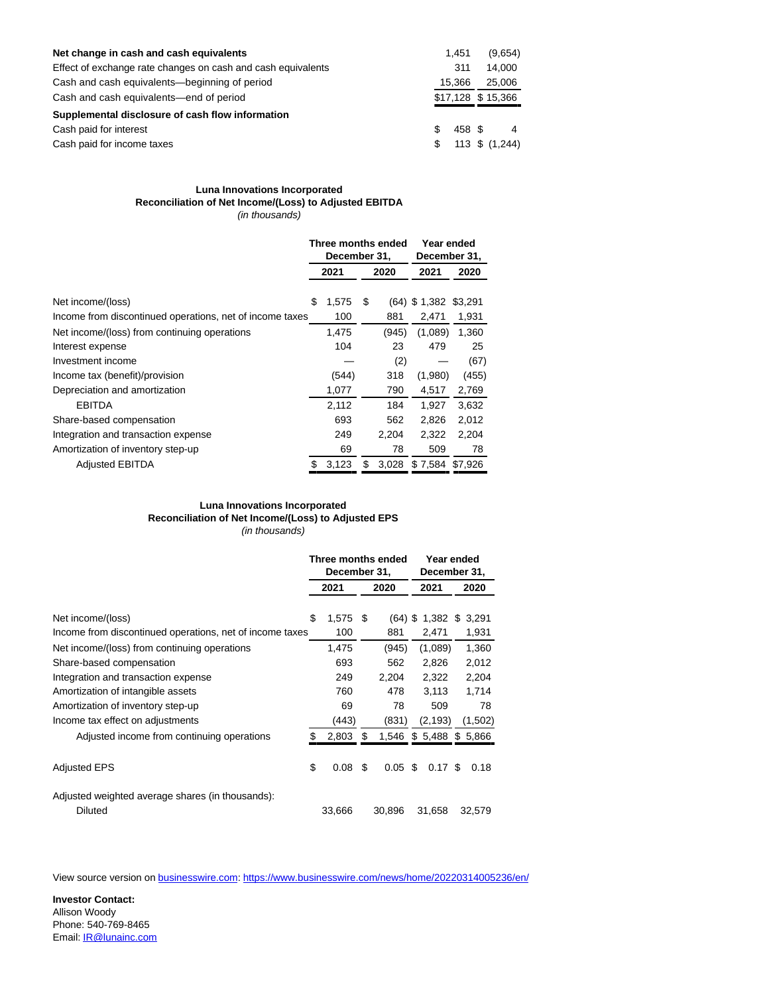| Net change in cash and cash equivalents                      | 1.451  | (9,654)           |
|--------------------------------------------------------------|--------|-------------------|
| Effect of exchange rate changes on cash and cash equivalents | 311    | 14.000            |
| Cash and cash equivalents—beginning of period                | 15.366 | 25,006            |
| Cash and cash equivalents-end of period                      |        | \$17,128 \$15,366 |
| Supplemental disclosure of cash flow information             |        |                   |
| Cash paid for interest                                       | 458 \$ | 4                 |
| Cash paid for income taxes                                   |        | 113 \$ (1,244)    |

#### **Luna Innovations Incorporated Reconciliation of Net Income/(Loss) to Adjusted EBITDA** (in thousands)

|                                                                               | Three months ended<br>December 31, |              |    |             | Year ended<br>December 31, |                  |  |
|-------------------------------------------------------------------------------|------------------------------------|--------------|----|-------------|----------------------------|------------------|--|
|                                                                               |                                    | 2021         |    | 2020        | 2021                       | 2020             |  |
| Net income/(loss)<br>Income from discontinued operations, net of income taxes | \$                                 | 1,575<br>100 | \$ | (64)<br>881 | \$1,382<br>2,471           | \$3,291<br>1,931 |  |
| Net income/(loss) from continuing operations                                  |                                    | 1,475        |    | (945)       | (1,089)                    | 1,360            |  |
| Interest expense                                                              |                                    | 104          |    | 23          | 479                        | 25               |  |
| Investment income                                                             |                                    |              |    | (2)         |                            | (67)             |  |
| Income tax (benefit)/provision                                                |                                    | (544)        |    | 318         | (1,980)                    | (455)            |  |
| Depreciation and amortization                                                 |                                    | 1,077        |    | 790         | 4,517                      | 2,769            |  |
| <b>EBITDA</b>                                                                 |                                    | 2,112        |    | 184         | 1.927                      | 3,632            |  |
| Share-based compensation                                                      |                                    | 693          |    | 562         | 2,826                      | 2,012            |  |
| Integration and transaction expense                                           |                                    | 249          |    | 2,204       | 2,322                      | 2,204            |  |
| Amortization of inventory step-up                                             |                                    | 69           |    | 78          | 509                        | 78               |  |
| <b>Adjusted EBITDA</b>                                                        | \$                                 | 3,123        | \$ | 3,028       | \$7,584                    | \$7.926          |  |

#### **Luna Innovations Incorporated Reconciliation of Net Income/(Loss) to Adjusted EPS** (in thousands)

|                                                                               | Three months ended<br>December 31, |              |     |           |  |                       | Year ended<br>December 31, |                |  |  |
|-------------------------------------------------------------------------------|------------------------------------|--------------|-----|-----------|--|-----------------------|----------------------------|----------------|--|--|
|                                                                               |                                    | 2021         |     | 2020      |  | 2021                  |                            | 2020           |  |  |
| Net income/(loss)<br>Income from discontinued operations, net of income taxes | \$                                 | 1,575<br>100 | \$. | 881       |  | (64) \$1,382<br>2,471 | \$                         | 3,291<br>1,931 |  |  |
| Net income/(loss) from continuing operations                                  |                                    | 1,475        |     | (945)     |  | (1,089)               |                            | 1,360          |  |  |
| Share-based compensation                                                      |                                    | 693          |     | 562       |  | 2,826                 |                            | 2,012          |  |  |
| Integration and transaction expense                                           |                                    | 249          |     | 2,204     |  | 2,322                 |                            | 2,204          |  |  |
| Amortization of intangible assets                                             |                                    | 760          |     | 478       |  | 3,113                 |                            | 1,714          |  |  |
| Amortization of inventory step-up                                             |                                    | 69           |     | 78        |  | 509                   |                            | 78             |  |  |
| Income tax effect on adjustments                                              |                                    | (443)        |     | (831)     |  | (2, 193)              |                            | (1,502)        |  |  |
| Adjusted income from continuing operations                                    | \$                                 | 2,803        | S   | 1,546     |  | \$5,488               |                            | \$5,866        |  |  |
| <b>Adjusted EPS</b>                                                           | \$                                 | 0.08         | \$  | $0.05$ \$ |  | $0.17$ \$             |                            | 0.18           |  |  |
| Adjusted weighted average shares (in thousands):<br><b>Diluted</b>            |                                    | 33,666       |     | 30,896    |  | 31,658                |                            | 32,579         |  |  |

View source version on [businesswire.com:](http://businesswire.com/)<https://www.businesswire.com/news/home/20220314005236/en/>

**Investor Contact:** Allison Woody Phone: 540-769-8465 Email[: IR@lunainc.com](mailto:IR@lunainc.com)